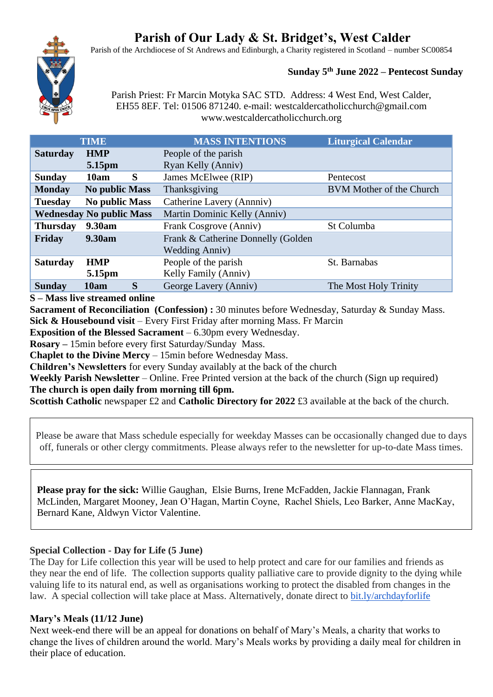# **Parish of Our Lady & St. Bridget's, West Calder**

Parish of the Archdiocese of St Andrews and Edinburgh, a Charity registered in Scotland – number SC00854



#### **Sunday 5 th June 2022 – Pentecost Sunday**

Parish Priest: Fr Marcin Motyka SAC STD. Address: 4 West End, West Calder, EH55 8EF. Tel: 01506 871240. e-mail: westcaldercatholicchurch@gmail.com www.westcaldercatholicchurch.org

|                 | <b>TIME</b>                     | <b>MASS INTENTIONS</b>             | <b>Liturgical Calendar</b>      |
|-----------------|---------------------------------|------------------------------------|---------------------------------|
| <b>Saturday</b> | <b>HMP</b>                      | People of the parish               |                                 |
|                 | 5.15pm                          | Ryan Kelly (Anniv)                 |                                 |
| <b>Sunday</b>   | S<br>10am                       | James McElwee (RIP)                | Pentecost                       |
| <b>Monday</b>   | <b>No public Mass</b>           | Thanksgiving                       | <b>BVM</b> Mother of the Church |
| <b>Tuesday</b>  | <b>No public Mass</b>           | Catherine Lavery (Annniv)          |                                 |
|                 | <b>Wednesday No public Mass</b> | Martin Dominic Kelly (Anniv)       |                                 |
| <b>Thursday</b> | 9.30am                          | Frank Cosgrove (Anniv)             | St Columba                      |
| Friday          | 9.30am                          | Frank & Catherine Donnelly (Golden |                                 |
|                 |                                 | <b>Wedding Anniv)</b>              |                                 |
| <b>Saturday</b> | <b>HMP</b>                      | People of the parish               | St. Barnabas                    |
|                 | 5.15pm                          | Kelly Family (Anniv)               |                                 |
| <b>Sunday</b>   | S<br>10am                       | George Lavery (Anniv)              | The Most Holy Trinity           |
|                 |                                 |                                    |                                 |

#### **S – Mass live streamed online**

**Sacrament of Reconciliation (Confession) :** 30 minutes before Wednesday, Saturday & Sunday Mass. **Sick & Housebound visit** – Every First Friday after morning Mass. Fr Marcin

**Exposition of the Blessed Sacrament** – 6.30pm every Wednesday.

**Rosary –** 15min before every first Saturday/Sunday Mass.

**Chaplet to the Divine Mercy** – 15min before Wednesday Mass.

**Children's Newsletters** for every Sunday availably at the back of the church

**Weekly Parish Newsletter** – Online. Free Printed version at the back of the church (Sign up required) **The church is open daily from morning till 6pm.** 

**Scottish Catholic** newspaper £2 and **Catholic Directory for 2022** £3 available at the back of the church.

Please be aware that Mass schedule especially for weekday Masses can be occasionally changed due to days off, funerals or other clergy commitments. Please always refer to the newsletter for up-to-date Mass times.

**Please pray for the sick:** Willie Gaughan, Elsie Burns, Irene McFadden, Jackie Flannagan, Frank McLinden, Margaret Mooney, Jean O'Hagan, Martin Coyne, Rachel Shiels, Leo Barker, Anne MacKay, Bernard Kane, Aldwyn Victor Valentine.

## **Special Collection - Day for Life (5 June)**

The Day for Life collection this year will be used to help protect and care for our families and friends as they near the end of life. The collection supports quality palliative care to provide dignity to the dying while valuing life to its natural end, as well as organisations working to protect the disabled from changes in the law. A special collection will take place at Mass. Alternatively, donate direct to [bit.ly/archdayforlife](https://bit.ly/archdayforlife)

## **Mary's Meals (11/12 June)**

Next week-end there will be an appeal for donations on behalf of Mary's Meals, a charity that works to change the lives of children around the world. Mary's Meals works by providing a daily meal for children in their place of education.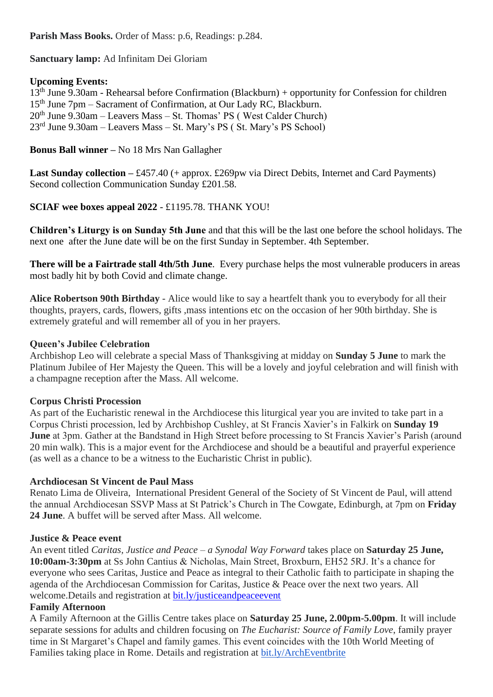**Parish Mass Books.** Order of Mass: p.6, Readings: p.284.

**Sanctuary lamp:** Ad Infinitam Dei Gloriam

# **Upcoming Events:**

13th June 9.30am - Rehearsal before Confirmation (Blackburn) + opportunity for Confession for children 15<sup>th</sup> June 7pm – Sacrament of Confirmation, at Our Lady RC, Blackburn.  $20<sup>th</sup>$  June 9.30am – Leavers Mass – St. Thomas' PS (West Calder Church) 23rd June 9.30am – Leavers Mass – St. Mary's PS ( St. Mary's PS School)

# **Bonus Ball winner –** No 18 Mrs Nan Gallagher

Last Sunday collection – £457.40 (+ approx. £269pw via Direct Debits, Internet and Card Payments) Second collection Communication Sunday £201.58.

**SCIAF wee boxes appeal 2022** - £1195.78. THANK YOU!

**Children's Liturgy is on Sunday 5th June** and that this will be the last one before the school holidays. The next one after the June date will be on the first Sunday in September. 4th September.

**There will be a Fairtrade stall 4th/5th June**. Every purchase helps the most vulnerable producers in areas most badly hit by both Covid and climate change.

**Alice Robertson 90th Birthday** - Alice would like to say a heartfelt thank you to everybody for all their thoughts, prayers, cards, flowers, gifts ,mass intentions etc on the occasion of her 90th birthday. She is extremely grateful and will remember all of you in her prayers.

# **Queen's Jubilee Celebration**

Archbishop Leo will celebrate a special Mass of Thanksgiving at midday on **Sunday 5 June** to mark the Platinum Jubilee of Her Majesty the Queen. This will be a lovely and joyful celebration and will finish with a champagne reception after the Mass. All welcome.

## **Corpus Christi Procession**

As part of the Eucharistic renewal in the Archdiocese this liturgical year you are invited to take part in a Corpus Christi procession, led by Archbishop Cushley, at St Francis Xavier's in Falkirk on **Sunday 19 June** at 3pm. Gather at the Bandstand in High Street before processing to St Francis Xavier's Parish (around 20 min walk). This is a major event for the Archdiocese and should be a beautiful and prayerful experience (as well as a chance to be a witness to the Eucharistic Christ in public).

## **Archdiocesan St Vincent de Paul Mass**

Renato Lima de Oliveira, International President General of the Society of St Vincent de Paul, will attend the annual Archdiocesan SSVP Mass at St Patrick's Church in The Cowgate, Edinburgh, at 7pm on **Friday 24 June**. A buffet will be served after Mass. All welcome.

## **Justice & Peace event**

An event titled *Caritas, Justice and Peace – a Synodal Way Forward* takes place on **Saturday 25 June, 10:00am-3:30pm** at Ss John Cantius & Nicholas, Main Street, Broxburn, EH52 5RJ. It's a chance for everyone who sees Caritas, Justice and Peace as integral to their Catholic faith to participate in shaping the agenda of the Archdiocesan Commission for Caritas, Justice & Peace over the next two years. All welcome. Details and registration at bit.ly/justiceand peace event

## **Family Afternoon**

A Family Afternoon at the Gillis Centre takes place on **Saturday 25 June, 2.00pm-5.00pm**. It will include separate sessions for adults and children focusing on *The Eucharist: Source of Family Love*, family prayer time in St Margaret's Chapel and family games. This event coincides with the 10th World Meeting of Families taking place in Rome. Details and registration at [bit.ly/ArchEventbrite](https://bit.ly/ArchEventbrite)